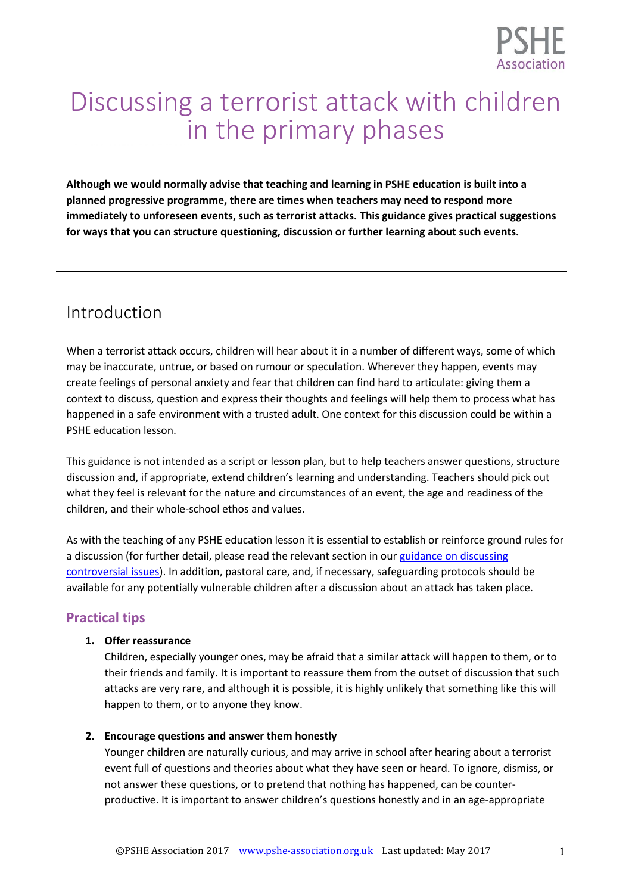

# Discussing a terrorist attack with children in the primary phases

**Although we would normally advise that teaching and learning in PSHE education is built into a planned progressive programme, there are times when teachers may need to respond more immediately to unforeseen events, such as terrorist attacks. This guidance gives practical suggestions for ways that you can structure questioning, discussion or further learning about such events.**

# Introduction

When a terrorist attack occurs, children will hear about it in a number of different ways, some of which may be inaccurate, untrue, or based on rumour or speculation. Wherever they happen, events may create feelings of personal anxiety and fear that children can find hard to articulate: giving them a context to discuss, question and express their thoughts and feelings will help them to process what has happened in a safe environment with a trusted adult. One context for this discussion could be within a PSHE education lesson.

This guidance is not intended as a script or lesson plan, but to help teachers answer questions, structure discussion and, if appropriate, extend children's learning and understanding. Teachers should pick out what they feel is relevant for the nature and circumstances of an event, the age and readiness of the children, and their whole-school ethos and values.

As with the teaching of any PSHE education lesson it is essential to establish or reinforce ground rules for a discussion (for further detail, please read the relevant section in our guidance on discussing [controversial issues\)](https://www.pshe-association.org.uk/curriculum-and-resources/resources/handling-sensitive-or-controversial-issues-through). In addition, pastoral care, and, if necessary, safeguarding protocols should be available for any potentially vulnerable children after a discussion about an attack has taken place.

## **Practical tips**

#### **1. Offer reassurance**

Children, especially younger ones, may be afraid that a similar attack will happen to them, or to their friends and family. It is important to reassure them from the outset of discussion that such attacks are very rare, and although it is possible, it is highly unlikely that something like this will happen to them, or to anyone they know.

#### **2. Encourage questions and answer them honestly**

Younger children are naturally curious, and may arrive in school after hearing about a terrorist event full of questions and theories about what they have seen or heard. To ignore, dismiss, or not answer these questions, or to pretend that nothing has happened, can be counterproductive. It is important to answer children's questions honestly and in an age-appropriate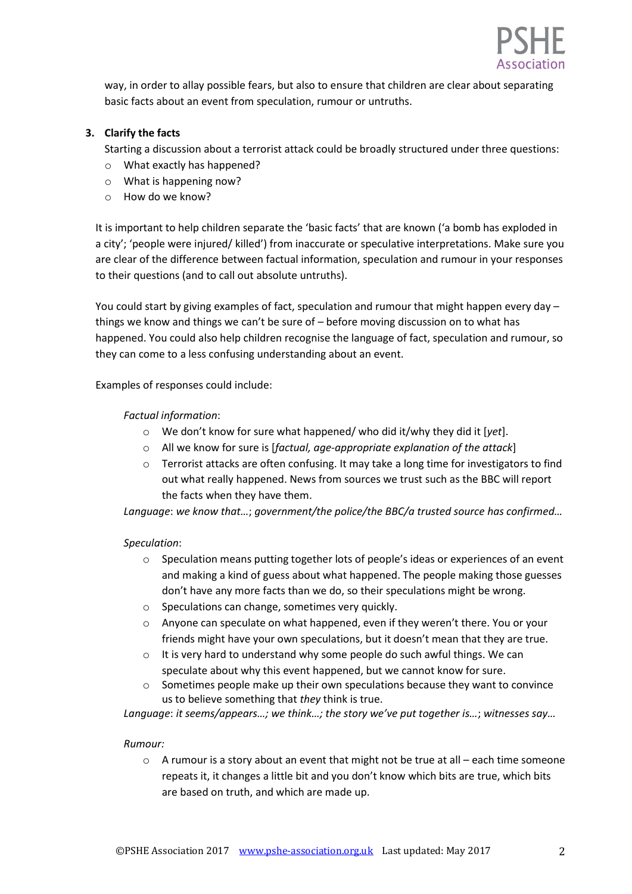

way, in order to allay possible fears, but also to ensure that children are clear about separating basic facts about an event from speculation, rumour or untruths.

#### **3. Clarify the facts**

Starting a discussion about a terrorist attack could be broadly structured under three questions:

- o What exactly has happened?
- o What is happening now?
- o How do we know?

It is important to help children separate the 'basic facts' that are known ('a bomb has exploded in a city'; 'people were injured/ killed') from inaccurate or speculative interpretations. Make sure you are clear of the difference between factual information, speculation and rumour in your responses to their questions (and to call out absolute untruths).

You could start by giving examples of fact, speculation and rumour that might happen every day – things we know and things we can't be sure of – before moving discussion on to what has happened. You could also help children recognise the language of fact, speculation and rumour, so they can come to a less confusing understanding about an event.

Examples of responses could include:

#### *Factual information*:

- o We don't know for sure what happened/ who did it/why they did it [*yet*].
- o All we know for sure is [*factual, age-appropriate explanation of the attack*]
- o Terrorist attacks are often confusing. It may take a long time for investigators to find out what really happened. News from sources we trust such as the BBC will report the facts when they have them.

*Language*: *we know that…*; *government/the police/the BBC/a trusted source has confirmed…*

#### *Speculation*:

- o Speculation means putting together lots of people's ideas or experiences of an event and making a kind of guess about what happened. The people making those guesses don't have any more facts than we do, so their speculations might be wrong.
- o Speculations can change, sometimes very quickly.
- $\circ$  Anyone can speculate on what happened, even if they weren't there. You or your friends might have your own speculations, but it doesn't mean that they are true.
- o It is very hard to understand why some people do such awful things. We can speculate about why this event happened, but we cannot know for sure.
- $\circ$  Sometimes people make up their own speculations because they want to convince us to believe something that *they* think is true.

*Language*: *it seems/appears…; we think…; the story we've put together is…*; *witnesses say…*

#### *Rumour:*

 $\circ$  A rumour is a story about an event that might not be true at all – each time someone repeats it, it changes a little bit and you don't know which bits are true, which bits are based on truth, and which are made up.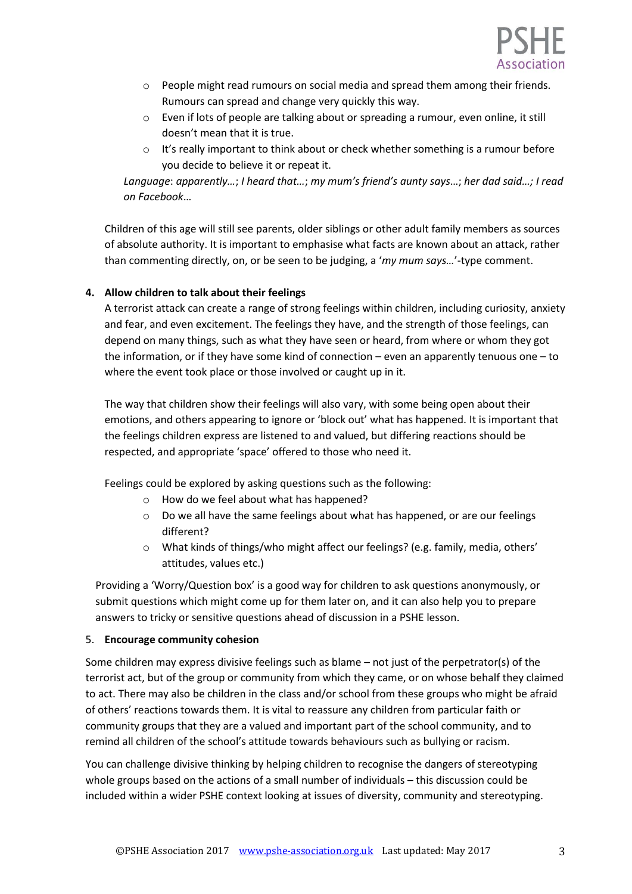

- $\circ$  People might read rumours on social media and spread them among their friends. Rumours can spread and change very quickly this way.
- o Even if lots of people are talking about or spreading a rumour, even online, it still doesn't mean that it is true.
- $\circ$  It's really important to think about or check whether something is a rumour before you decide to believe it or repeat it.

*Language*: *apparently…*; *I heard that…*; *my mum's friend's aunty says*…; *her dad said…; I read on Facebook*…

Children of this age will still see parents, older siblings or other adult family members as sources of absolute authority. It is important to emphasise what facts are known about an attack, rather than commenting directly, on, or be seen to be judging, a '*my mum says…*'-type comment.

#### **4. Allow children to talk about their feelings**

A terrorist attack can create a range of strong feelings within children, including curiosity, anxiety and fear, and even excitement. The feelings they have, and the strength of those feelings, can depend on many things, such as what they have seen or heard, from where or whom they got the information, or if they have some kind of connection – even an apparently tenuous one – to where the event took place or those involved or caught up in it.

The way that children show their feelings will also vary, with some being open about their emotions, and others appearing to ignore or 'block out' what has happened. It is important that the feelings children express are listened to and valued, but differing reactions should be respected, and appropriate 'space' offered to those who need it.

Feelings could be explored by asking questions such as the following:

- o How do we feel about what has happened?
- o Do we all have the same feelings about what has happened, or are our feelings different?
- o What kinds of things/who might affect our feelings? (e.g. family, media, others' attitudes, values etc.)

Providing a 'Worry/Question box' is a good way for children to ask questions anonymously, or submit questions which might come up for them later on, and it can also help you to prepare answers to tricky or sensitive questions ahead of discussion in a PSHE lesson.

#### 5. **Encourage community cohesion**

Some children may express divisive feelings such as blame – not just of the perpetrator(s) of the terrorist act, but of the group or community from which they came, or on whose behalf they claimed to act. There may also be children in the class and/or school from these groups who might be afraid of others' reactions towards them. It is vital to reassure any children from particular faith or community groups that they are a valued and important part of the school community, and to remind all children of the school's attitude towards behaviours such as bullying or racism.

You can challenge divisive thinking by helping children to recognise the dangers of stereotyping whole groups based on the actions of a small number of individuals – this discussion could be included within a wider PSHE context looking at issues of diversity, community and stereotyping.